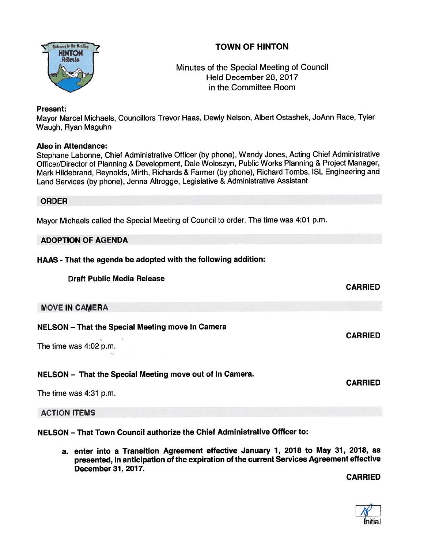# TOWN OF HINTON



## Minutes of the Special Meeting of Council Held December 28, 2017 in the Committee Room

### Present:

Mayor Marcel Michaels, Councillors Trevor Haas, Dewly Nelson, Albert Ostashek, JoAnn Race, Tyler Waugh, Ryan Maguhn

#### Also in Attendance:

Stephane Labonne, Chief Administrative Officer (by <sup>p</sup>hone), Wendy Jones, Acting Chief Administrative Officer/Director of Planning & Development, Dale Woloszyn, Public Works Planning & Project Manager, Mark Hildebrand, Reynolds, Mirth, Richards & Farmer (by <sup>p</sup>hone), Richard Tombs, ISL Engineering and Land Services (by <sup>p</sup>hone), Jenna Altrogge, Legislative & Administrative Assistant

#### ORDER

Mayor Michaels called the Special Meeting of Council to order. The time was 4:01 p.m.

### ADOPTION OF AGENDA

### HAAS - That the agenda be adopted with the following addition:

Draft Public Media Release

### MOVE IN CAMERA

### NELSON — That the Special Meeting move In Camera

The time was 4:02 p.m.

### NELSON — That the Special Meeting move out of In Camera.

The time was 4:31 p.m.

ACTION ITEMS

NELSON — That Town Council authorize the Chief Administrative Officer to:

a. enter into a Transition Agreement effective January 1, 2018 to May 31, 2018, as presented, in anticipation of the expiration of the current Services Agreement effective December 37, 2077.

CARRIED

CARRIED

CARRIED

CARRIED